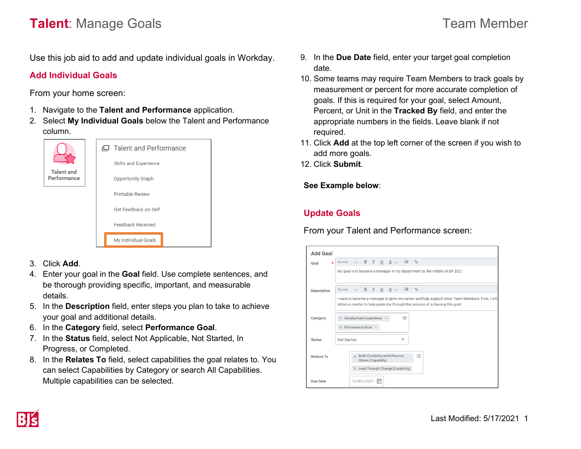# **Talent**: Manage Goals **Talent**: Manage Goals

Use this job aid to add and update individual goals in Workday.

## **Add Individual Goals**

From your home screen:

- 1. Navigate to the **Talent and Performance** application.
- 2. Select **My Individual Goals** below the Talent and Performance column.





- 3. Click **Add**.
- 4. Enter your goal in the **Goal** field. Use complete sentences, and be thorough providing specific, important, and measurable details.
- 5. In the **Description** field, enter steps you plan to take to achieve your goal and additional details.
- 6. In the **Category** field, select **Performance Goal**.
- 7. In the **Status** field, select Not Applicable, Not Started, In Progress, or Completed.
- 8. In the **Relates To** field, select capabilities the goal relates to. You can select Capabilities by Category or search All Capabilities. Multiple capabilities can be selected.
- 9. In the **Due Date** field, enter your target goal completion date.
- 10. Some teams may require Team Members to track goals by measurement or percent for more accurate completion of goals. If this is required for your goal, select Amount, Percent, or Unit in the **Tracked By** field, and enter the appropriate numbers in the fields. Leave blank if not required.
- 11. Click **Add** at the top left corner of the screen if you wish to add more goals.
- 12. Click **Submit**.

**See Example below**:

## **Update Goals**

From your Talent and Performance screen:

| <b>Add Goal</b>                                                           |                                                                                                                                                                                 |  |  |  |
|---------------------------------------------------------------------------|---------------------------------------------------------------------------------------------------------------------------------------------------------------------------------|--|--|--|
| $\star$<br>Goal                                                           | $\vee$ B I U A $\vee$ E $\otimes$<br>Normal                                                                                                                                     |  |  |  |
| My goal is to become a manager in my department by the middle of Q4 2021. |                                                                                                                                                                                 |  |  |  |
| Description                                                               | $\vee$ B I U A $\vee$ E $\otimes$<br>Normal                                                                                                                                     |  |  |  |
|                                                                           | I want to become a manager to grow my career and help support other Team Members. First, I will<br>obtain a mentor to help quide me through the process of achieving this goal. |  |  |  |
| Category                                                                  | 這<br>X Development Experience<br>X Performance Goal                                                                                                                             |  |  |  |
| <b>Status</b>                                                             | Not Started<br>v                                                                                                                                                                |  |  |  |
| Relates To                                                                | $\times$ Build Credibility and Influence<br>洼<br>Others (Capability)<br>$\times$ Lead Through Change (Capability)                                                               |  |  |  |
| Due Date                                                                  | 12/01/2021<br>⋷                                                                                                                                                                 |  |  |  |